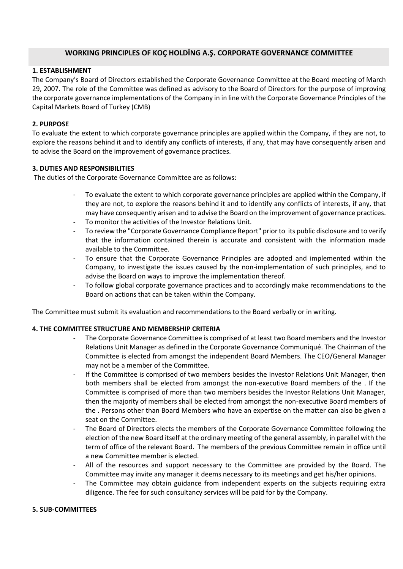### **WORKING PRINCIPLES OF KOÇ HOLDİNG A.Ş. CORPORATE GOVERNANCE COMMITTEE**

# **1. ESTABLISHMENT**

The Company's Board of Directors established the Corporate Governance Committee at the Board meeting of March 29, 2007. The role of the Committee was defined as advisory to the Board of Directors for the purpose of improving the corporate governance implementations of the Company in in line with the Corporate Governance Principles of the Capital Markets Board of Turkey (CMB)

### **2. PURPOSE**

To evaluate the extent to which corporate governance principles are applied within the Company, if they are not, to explore the reasons behind it and to identify any conflicts of interests, if any, that may have consequently arisen and to advise the Board on the improvement of governance practices.

### **3. DUTIES AND RESPONSIBILITIES**

The duties of the Corporate Governance Committee are as follows:

- To evaluate the extent to which corporate governance principles are applied within the Company, if they are not, to explore the reasons behind it and to identify any conflicts of interests, if any, that may have consequently arisen and to advise the Board on the improvement of governance practices.
- To monitor the activities of the Investor Relations Unit.
- To review the "Corporate Governance Compliance Report" prior to its public disclosure and to verify that the information contained therein is accurate and consistent with the information made available to the Committee.
- To ensure that the Corporate Governance Principles are adopted and implemented within the Company, to investigate the issues caused by the non-implementation of such principles, and to advise the Board on ways to improve the implementation thereof.
- To follow global corporate governance practices and to accordingly make recommendations to the Board on actions that can be taken within the Company.

The Committee must submit its evaluation and recommendations to the Board verbally or in writing.

### **4. THE COMMITTEE STRUCTURE AND MEMBERSHIP CRITERIA**

- The Corporate Governance Committee is comprised of at least two Board members and the Investor Relations Unit Manager as defined in the Corporate Governance Communiqué. The Chairman of the Committee is elected from amongst the independent Board Members. The CEO/General Manager may not be a member of the Committee.
- If the Committee is comprised of two members besides the Investor Relations Unit Manager, then both members shall be elected from amongst the non-executive Board members of the . If the Committee is comprised of more than two members besides the Investor Relations Unit Manager, then the majority of members shall be elected from amongst the non-executive Board members of the . Persons other than Board Members who have an expertise on the matter can also be given a seat on the Committee.
- The Board of Directors elects the members of the Corporate Governance Committee following the election of the new Board itself at the ordinary meeting of the general assembly, in parallel with the term of office of the relevant Board. The members of the previous Committee remain in office until a new Committee member is elected.
- All of the resources and support necessary to the Committee are provided by the Board. The Committee may invite any manager it deems necessary to its meetings and get his/her opinions.
- The Committee may obtain guidance from independent experts on the subjects requiring extra diligence. The fee for such consultancy services will be paid for by the Company.

#### **5. SUB-COMMITTEES**